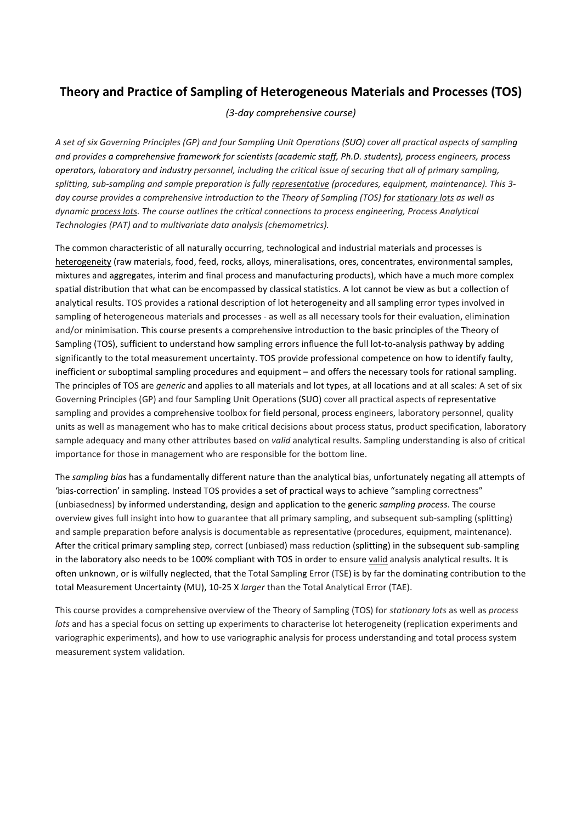## **Theory and Practice of Sampling of Heterogeneous Materials and Processes (TOS)**

## *(3-day comprehensive course)*

*A set of six Governing Principles (GP) and four Sampling Unit Operations (SUO) cover all practical aspects of sampling and provides a comprehensive framework for scientists (academic staff, Ph.D. students), process engineers, process operators, laboratory and industry personnel, including the critical issue of securing that all of primary sampling, splitting, sub-sampling and sample preparation is fully representative (procedures, equipment, maintenance). This 3 day course provides a comprehensive introduction to the Theory of Sampling (TOS) for stationary lots as well as dynamic process lots. The course outlines the critical connections to process engineering, Process Analytical Technologies (PAT) and to multivariate data analysis (chemometrics).*

The common characteristic of all naturally occurring, technological and industrial materials and processes is heterogeneity (raw materials, food, feed, rocks, alloys, mineralisations, ores, concentrates, environmental samples, mixtures and aggregates, interim and final process and manufacturing products), which have a much more complex spatial distribution that what can be encompassed by classical statistics. A lot cannot be view as but a collection of analytical results. TOS provides a rational description of lot heterogeneity and all sampling error types involved in sampling of heterogeneous materials and processes - as well as all necessary tools for their evaluation, elimination and/or minimisation. This course presents a comprehensive introduction to the basic principles of the Theory of Sampling (TOS), sufficient to understand how sampling errors influence the full lot-to-analysis pathway by adding significantly to the total measurement uncertainty. TOS provide professional competence on how to identify faulty, inefficient or suboptimal sampling procedures and equipment – and offers the necessary tools for rational sampling. The principles of TOS are *generic* and applies to all materials and lot types, at all locations and at all scales: A set of six Governing Principles (GP) and four Sampling Unit Operations (SUO) cover all practical aspects of representative sampling and provides a comprehensive toolbox for field personal, process engineers, laboratory personnel, quality units as well as management who has to make critical decisions about process status, product specification, laboratory sample adequacy and many other attributes based on *valid* analytical results. Sampling understanding is also of critical importance for those in management who are responsible for the bottom line.

The *sampling bias* has a fundamentally different nature than the analytical bias, unfortunately negating all attempts of 'bias-correction' in sampling. Instead TOS provides a set of practical ways to achieve "sampling correctness" (unbiasedness) by informed understanding, design and application to the generic *sampling process*. The course overview gives full insight into how to guarantee that all primary sampling, and subsequent sub-sampling (splitting) and sample preparation before analysis is documentable as representative (procedures, equipment, maintenance). After the critical primary sampling step, correct (unbiased) mass reduction (splitting) in the subsequent sub-sampling in the laboratory also needs to be 100% compliant with TOS in order to ensure valid analysis analytical results. It is often unknown, or is wilfully neglected, that the Total Sampling Error (TSE) is by far the dominating contribution to the total Measurement Uncertainty (MU), 10-25 X *larger* than the Total Analytical Error (TAE).

This course provides a comprehensive overview of the Theory of Sampling (TOS) for *stationary lots* as well as *process lots* and has a special focus on setting up experiments to characterise lot heterogeneity (replication experiments and variographic experiments), and how to use variographic analysis for process understanding and total process system measurement system validation.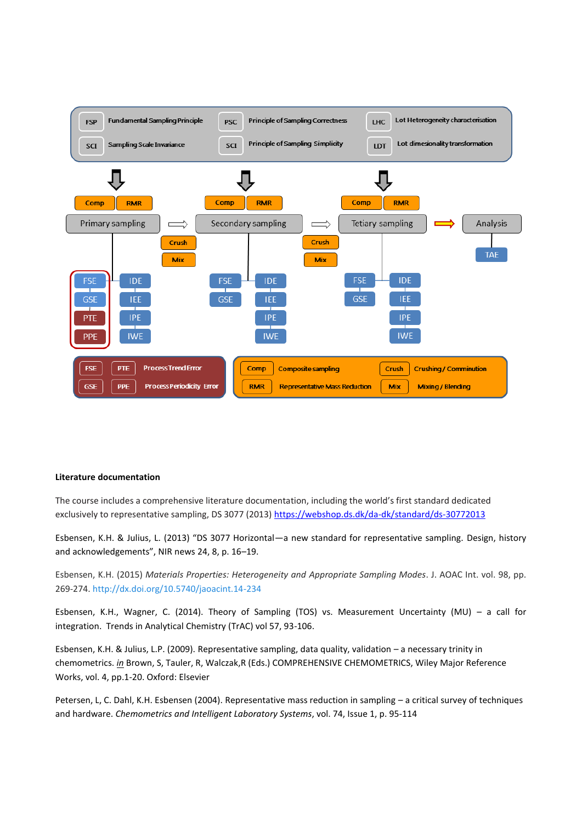

## **Literature documentation**

The course includes a comprehensive literature documentation, including the world's first standard dedicated exclusively to representative sampling, DS 3077 (2013[\) https://webshop.ds.dk/da-dk/standard/ds-30772013](https://webshop.ds.dk/da-dk/standard/ds-30772013)

Esbensen, K.H. & Julius, L. (2013) "DS 3077 Horizontal—a new standard for representative sampling. Design, history and acknowledgements", NIR news 24, 8, p. 16–19.

Esbensen, K.H. (2015) *Materials Properties: Heterogeneity and Appropriate Sampling Modes*. J. AOAC Int. vol. 98, pp. 269-274.<http://dx.doi.org/10.5740/jaoacint.14-234>

Esbensen, K.H., Wagner, C. (2014). Theory of Sampling (TOS) vs. Measurement Uncertainty (MU) – a call for integration. Trends in Analytical Chemistry (TrAC) vol 57, 93-106.

Esbensen, K.H. & Julius, L.P. (2009). Representative sampling, data quality, validation – a necessary trinity in chemometrics. *in* Brown, S, Tauler, R, Walczak,R (Eds.) COMPREHENSIVE CHEMOMETRICS, Wiley Major Reference Works, vol. 4, pp.1-20. Oxford: Elsevier

Petersen, L, C. Dahl, K.H. Esbensen (2004). Representative mass reduction in sampling – a critical survey of techniques and hardware. *Chemometrics and Intelligent Laboratory Systems*, vol. 74, Issue 1, p. 95-114